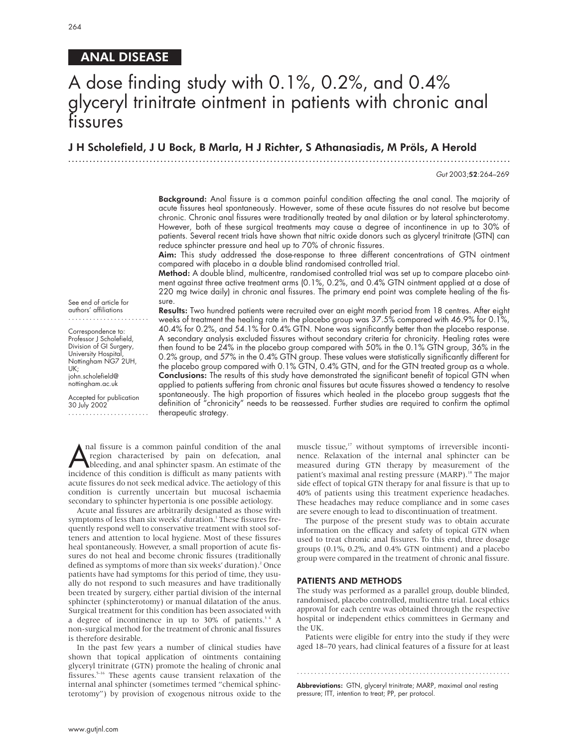# ANAL DISEASE

# A dose finding study with 0.1%, 0.2%, and 0.4% glyceryl trinitrate ointment in patients with chronic anal fissures

J H Scholefield, J U Bock, B Marla, H J Richter, S Athanasiadis, M Pröls, A Herold

.............................................................................................................................

Gut 2003;52:264–269

**Background:** Anal fissure is a common painful condition affecting the anal canal. The majority of acute fissures heal spontaneously. However, some of these acute fissures do not resolve but become chronic. Chronic anal fissures were traditionally treated by anal dilation or by lateral sphincterotomy. However, both of these surgical treatments may cause a degree of incontinence in up to 30% of patients. Several recent trials have shown that nitric oxide donors such as glyceryl trinitrate (GTN) can reduce sphincter pressure and heal up to 70% of chronic fissures.

Aim: This study addressed the dose-response to three different concentrations of GTN ointment compared with placebo in a double blind randomised controlled trial.

Method: A double blind, multicentre, randomised controlled trial was set up to compare placebo ointment against three active treatment arms (0.1%, 0.2%, and 0.4% GTN ointment applied at a dose of 220 mg twice daily) in chronic anal fissures. The primary end point was complete healing of the fissure.

Results: Two hundred patients were recruited over an eight month period from 18 centres. After eight weeks of treatment the healing rate in the placebo group was 37.5% compared with 46.9% for 0.1%, 40.4% for 0.2%, and 54.1% for 0.4% GTN. None was significantly better than the placebo response. A secondary analysis excluded fissures without secondary criteria for chronicity. Healing rates were then found to be 24% in the placebo group compared with 50% in the 0.1% GTN group, 36% in the 0.2% group, and 57% in the 0.4% GTN group. These values were statistically significantly different for the placebo group compared with 0.1% GTN, 0.4% GTN, and for the GTN treated group as a whole. Conclusions: The results of this study have demonstrated the significant benefit of topical GTN when applied to patients suffering from chronic anal fissures but acute fissures showed a tendency to resolve spontaneously. The high proportion of fissures which healed in the placebo group suggests that the definition of "chronicity" needs to be reassessed. Further studies are required to confirm the optimal therapeutic strategy.

and fissure is a common paintul condition of the anal<br>region characterised by pain on defecation, anal<br>bleeding, and anal sphincter spasm. An estimate of the<br>incidence of this condition is difficult as many patients with nal fissure is a common painful condition of the anal region characterised by pain on defecation, anal bleeding, and anal sphincter spasm. An estimate of the acute fissures do not seek medical advice. The aetiology of this condition is currently uncertain but mucosal ischaemia secondary to sphincter hypertonia is one possible aetiology.

Acute anal fissures are arbitrarily designated as those with symptoms of less than six weeks' duration.<sup>1</sup> These fissures frequently respond well to conservative treatment with stool softeners and attention to local hygiene. Most of these fissures heal spontaneously. However, a small proportion of acute fissures do not heal and become chronic fissures (traditionally defined as symptoms of more than six weeks' duration).<sup>2</sup> Once patients have had symptoms for this period of time, they usually do not respond to such measures and have traditionally been treated by surgery, either partial division of the internal sphincter (sphincterotomy) or manual dilatation of the anus. Surgical treatment for this condition has been associated with a degree of incontinence in up to  $30\%$  of patients.<sup>34</sup> A non-surgical method for the treatment of chronic anal fissures is therefore desirable.

In the past few years a number of clinical studies have shown that topical application of ointments containing glyceryl trinitrate (GTN) promote the healing of chronic anal fissures.5–16 These agents cause transient relaxation of the internal anal sphincter (sometimes termed "chemical sphincterotomy") by provision of exogenous nitrous oxide to the

muscle tissue,<sup>17</sup> without symptoms of irreversible incontinence. Relaxation of the internal anal sphincter can be measured during GTN therapy by measurement of the patient's maximal anal resting pressure (MARP).<sup>18</sup> The major side effect of topical GTN therapy for anal fissure is that up to 40% of patients using this treatment experience headaches. These headaches may reduce compliance and in some cases are severe enough to lead to discontinuation of treatment.

The purpose of the present study was to obtain accurate information on the efficacy and safety of topical GTN when used to treat chronic anal fissures. To this end, three dosage groups (0.1%, 0.2%, and 0.4% GTN ointment) and a placebo group were compared in the treatment of chronic anal fissure.

# PATIENTS AND METHODS

The study was performed as a parallel group, double blinded, randomised, placebo controlled, multicentre trial. Local ethics approval for each centre was obtained through the respective hospital or independent ethics committees in Germany and the UK.

Patients were eligible for entry into the study if they were aged 18–70 years, had clinical features of a fissure for at least

.............................................................

Abbreviations: GTN, glyceryl trinitrate; MARP, maximal anal resting pressure; ITT, intention to treat; PP, per protocol.

See end of article for authors' affiliations .......................

Correspondence to: Professor J Scholefield, Division of GI Surgery, University Hospital, Nottingham NG7 2UH, UK; john.scholefield@ nottingham.ac.uk

Accepted for publication 30 July 2002 .......................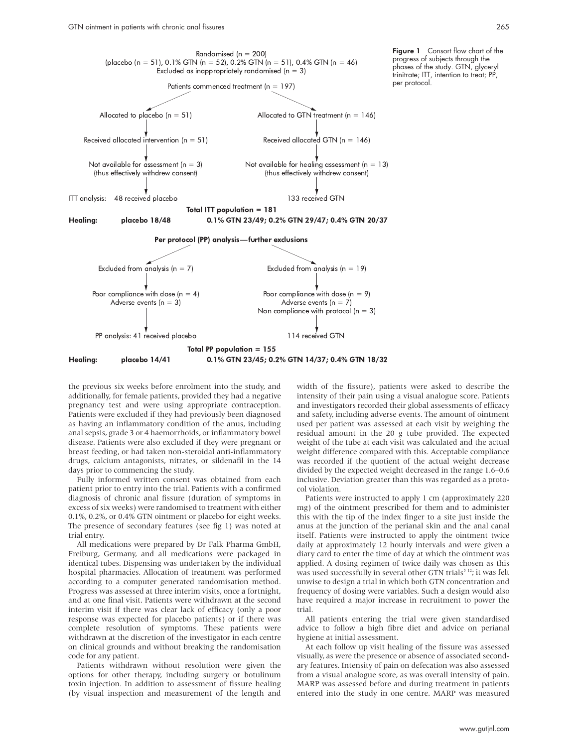

the previous six weeks before enrolment into the study, and additionally, for female patients, provided they had a negative pregnancy test and were using appropriate contraception. Patients were excluded if they had previously been diagnosed as having an inflammatory condition of the anus, including anal sepsis, grade 3 or 4 haemorrhoids, or inflammatory bowel disease. Patients were also excluded if they were pregnant or breast feeding, or had taken non-steroidal anti-inflammatory drugs, calcium antagonists, nitrates, or sildenafil in the 14 days prior to commencing the study.

Fully informed written consent was obtained from each patient prior to entry into the trial. Patients with a confirmed diagnosis of chronic anal fissure (duration of symptoms in excess of six weeks) were randomised to treatment with either 0.1%, 0.2%, or 0.4% GTN ointment or placebo for eight weeks. The presence of secondary features (see fig 1) was noted at trial entry.

All medications were prepared by Dr Falk Pharma GmbH, Freiburg, Germany, and all medications were packaged in identical tubes. Dispensing was undertaken by the individual hospital pharmacies. Allocation of treatment was performed according to a computer generated randomisation method. Progress was assessed at three interim visits, once a fortnight, and at one final visit. Patients were withdrawn at the second interim visit if there was clear lack of efficacy (only a poor response was expected for placebo patients) or if there was complete resolution of symptoms. These patients were withdrawn at the discretion of the investigator in each centre on clinical grounds and without breaking the randomisation code for any patient.

Patients withdrawn without resolution were given the options for other therapy, including surgery or botulinum toxin injection. In addition to assessment of fissure healing (by visual inspection and measurement of the length and

width of the fissure), patients were asked to describe the intensity of their pain using a visual analogue score. Patients and investigators recorded their global assessments of efficacy and safety, including adverse events. The amount of ointment used per patient was assessed at each visit by weighing the residual amount in the 20 g tube provided. The expected weight of the tube at each visit was calculated and the actual weight difference compared with this. Acceptable compliance was recorded if the quotient of the actual weight decrease divided by the expected weight decreased in the range 1.6–0.6 inclusive. Deviation greater than this was regarded as a protocol violation.

Patients were instructed to apply 1 cm (approximately 220 mg) of the ointment prescribed for them and to administer this with the tip of the index finger to a site just inside the anus at the junction of the perianal skin and the anal canal itself. Patients were instructed to apply the ointment twice daily at approximately 12 hourly intervals and were given a diary card to enter the time of day at which the ointment was applied. A dosing regimen of twice daily was chosen as this was used successfully in several other GTN trials<sup>5 12</sup>; it was felt unwise to design a trial in which both GTN concentration and frequency of dosing were variables. Such a design would also have required a major increase in recruitment to power the trial.

All patients entering the trial were given standardised advice to follow a high fibre diet and advice on perianal hygiene at initial assessment.

At each follow up visit healing of the fissure was assessed visually, as were the presence or absence of associated secondary features. Intensity of pain on defecation was also assessed from a visual analogue score, as was overall intensity of pain. MARP was assessed before and during treatment in patients entered into the study in one centre. MARP was measured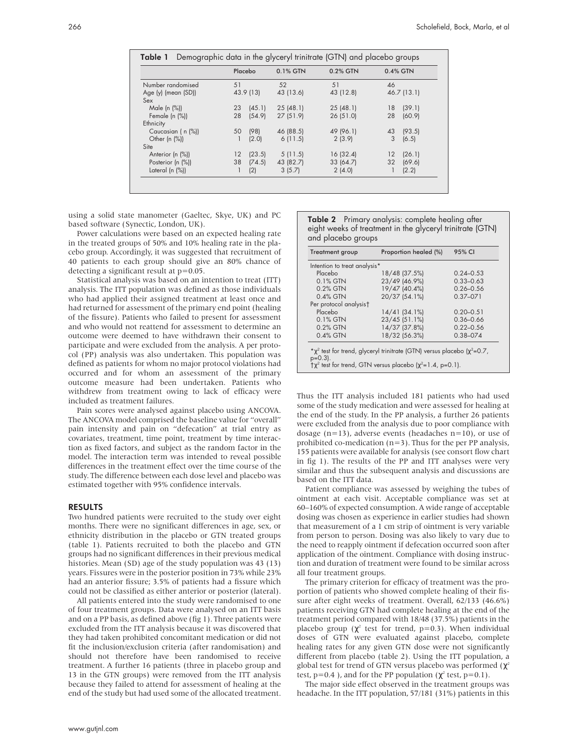|                          | Placebo |           | $0.1\%$ GTN | 0.2% GTN  |                   | $0.4\%$ GTN |
|--------------------------|---------|-----------|-------------|-----------|-------------------|-------------|
| Number randomised        | 51      |           | 52          | 51        | 46                |             |
| Age $(y)$ (mean $(SD)$ ) |         | 43.9 (13) | 43 (13.6)   | 43 (12.8) |                   | 46.7 (13.1) |
| Sex                      |         |           |             |           |                   |             |
| Male (n (%))             | 23      | (45.1)    | 25(48.1)    | 25(48.1)  | 18                | (39.1)      |
| Female (n (%))           | 28      | (54.9)    | 27(51.9)    | 26 (51.0) | 28                | (60.9)      |
| Ethnicity                |         |           |             |           |                   |             |
| Caucasian ( n (%))       | 50      | (98)      | 46 (88.5)   | 49 (96.1) | 43                | (93.5)      |
| Other $(n \ (%))$        | 1       | (2.0)     | 6(11.5)     | 2(3.9)    | 3                 | (6.5)       |
| Site                     |         |           |             |           |                   |             |
| Anterior (n (%))         | 12      | (23.5)    | 5(11.5)     | 16(32.4)  | $12 \overline{ }$ | (26.1)      |
| Posterior (n (%))        | 38      | (74.5)    | 43 (82.7)   | 33 (64.7) | 32                | (69.6)      |
| Lateral (n (%))          |         | (2)       | 3(5.7)      | 2(4.0)    |                   | (2.2)       |

using a solid state manometer (Gaeltec, Skye, UK) and PC based software (Synectic, London, UK).

Power calculations were based on an expected healing rate in the treated groups of 50% and 10% healing rate in the placebo group. Accordingly, it was suggested that recruitment of 40 patients to each group should give an 80% chance of detecting a significant result at  $p=0.05$ .

Statistical analysis was based on an intention to treat (ITT) analysis. The ITT population was defined as those individuals who had applied their assigned treatment at least once and had returned for assessment of the primary end point (healing of the fissure). Patients who failed to present for assessment and who would not reattend for assessment to determine an outcome were deemed to have withdrawn their consent to participate and were excluded from the analysis. A per protocol (PP) analysis was also undertaken. This population was defined as patients for whom no major protocol violations had occurred and for whom an assessment of the primary outcome measure had been undertaken. Patients who withdrew from treatment owing to lack of efficacy were included as treatment failures.

Pain scores were analysed against placebo using ANCOVA. The ANCOVA model comprised the baseline value for "overall" pain intensity and pain on "defecation" at trial entry as covariates, treatment, time point, treatment by time interaction as fixed factors, and subject as the random factor in the model. The interaction term was intended to reveal possible differences in the treatment effect over the time course of the study. The difference between each dose level and placebo was estimated together with 95% confidence intervals.

# RESULTS

Two hundred patients were recruited to the study over eight months. There were no significant differences in age, sex, or ethnicity distribution in the placebo or GTN treated groups (table 1). Patients recruited to both the placebo and GTN groups had no significant differences in their previous medical histories. Mean (SD) age of the study population was 43 (13) years. Fissures were in the posterior position in 73% while 23% had an anterior fissure; 3.5% of patients had a fissure which could not be classified as either anterior or posterior (lateral).

All patients entered into the study were randomised to one of four treatment groups. Data were analysed on an ITT basis and on a PP basis, as defined above (fig 1). Three patients were excluded from the ITT analysis because it was discovered that they had taken prohibited concomitant medication or did not fit the inclusion/exclusion criteria (after randomisation) and should not therefore have been randomised to receive treatment. A further 16 patients (three in placebo group and 13 in the GTN groups) were removed from the ITT analysis because they failed to attend for assessment of healing at the end of the study but had used some of the allocated treatment.

Table 2 Primary analysis: complete healing after eight weeks of treatment in the glyceryl trinitrate (GTN) and placebo groups

| Treatment group              | Proportion healed (%)                                                                                                                                                       | 95% CI        |
|------------------------------|-----------------------------------------------------------------------------------------------------------------------------------------------------------------------------|---------------|
| Intention to treat analysis* |                                                                                                                                                                             |               |
| Placebo                      | 18/48 (37.5%)                                                                                                                                                               | $0.24 - 0.53$ |
| $0.1\%$ GTN                  | 23/49 (46.9%)                                                                                                                                                               | $0.33 - 0.63$ |
| 0.2% GTN                     | 19/47 (40.4%)                                                                                                                                                               | $0.26 - 0.56$ |
| $0.4\%$ GTN                  | 20/37 (54.1%)                                                                                                                                                               | $0.37 - 071$  |
| Per protocol analysist       |                                                                                                                                                                             |               |
| Placebo                      | $14/41$ (34.1%)                                                                                                                                                             | $0.20 - 0.51$ |
| $0.1\%$ GTN                  | 23/45 (51.1%)                                                                                                                                                               | $0.36 - 0.66$ |
| 0.2% GTN                     | 14/37 (37.8%)                                                                                                                                                               | $0.22 - 0.56$ |
| $0.4\%$ GTN                  | 18/32 (56.3%)                                                                                                                                                               | $0.38 - 074$  |
| $p=0.3$ ).                   | $\star \gamma^2$ test for trend, glyceryl trinitrate (GTN) versus placebo ( $\chi^2$ =0.7,<br>$\uparrow \chi^2$ test for trend, GTN versus placebo ( $\chi^2$ =1.4, p=0.1). |               |

Thus the ITT analysis included 181 patients who had used some of the study medication and were assessed for healing at the end of the study. In the PP analysis, a further 26 patients were excluded from the analysis due to poor compliance with dosage  $(n=13)$ , adverse events (headaches  $n=10$ ), or use of prohibited co-medication  $(n=3)$ . Thus for the per PP analysis, 155 patients were available for analysis (see consort flow chart in fig 1). The results of the PP and ITT analyses were very similar and thus the subsequent analysis and discussions are based on the ITT data.

Patient compliance was assessed by weighing the tubes of ointment at each visit. Acceptable compliance was set at 60–160% of expected consumption. A wide range of acceptable dosing was chosen as experience in earlier studies had shown that measurement of a 1 cm strip of ointment is very variable from person to person. Dosing was also likely to vary due to the need to reapply ointment if defecation occurred soon after application of the ointment. Compliance with dosing instruction and duration of treatment were found to be similar across all four treatment groups.

The primary criterion for efficacy of treatment was the proportion of patients who showed complete healing of their fissure after eight weeks of treatment. Overall, 62/133 (46.6%) patients receiving GTN had complete healing at the end of the treatment period compared with 18/48 (37.5%) patients in the placebo group ( $\chi^2$  test for trend, p=0.3). When individual doses of GTN were evaluated against placebo, complete healing rates for any given GTN dose were not significantly different from placebo (table 2). Using the ITT population, a global test for trend of GTN versus placebo was performed ( $\chi^2$ test,  $p=0.4$  ), and for the PP population ( $\chi^2$  test,  $p=0.1$ ).

The major side effect observed in the treatment groups was headache. In the ITT population, 57/181 (31%) patients in this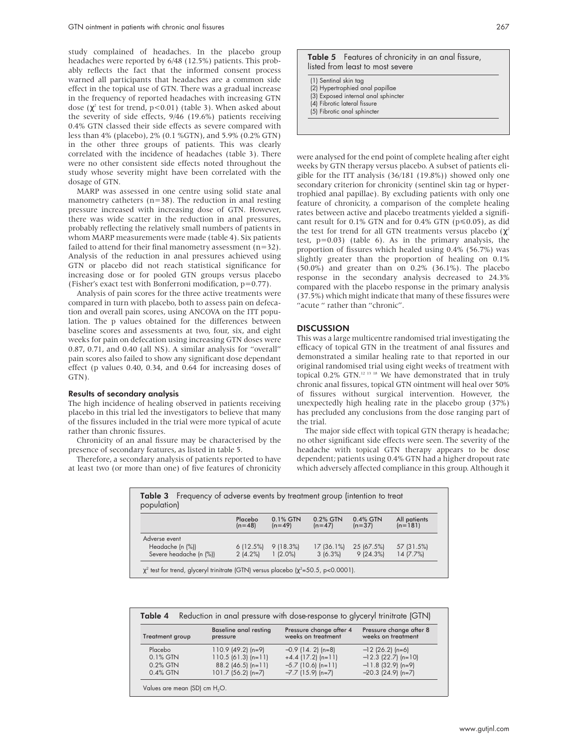study complained of headaches. In the placebo group headaches were reported by 6/48 (12.5%) patients. This probably reflects the fact that the informed consent process warned all participants that headaches are a common side effect in the topical use of GTN. There was a gradual increase in the frequency of reported headaches with increasing GTN dose ( $χ²$  test for trend,  $p < 0.01$ ) (table 3). When asked about the severity of side effects, 9/46 (19.6%) patients receiving 0.4% GTN classed their side effects as severe compared with less than 4% (placebo), 2% (0.1 %GTN), and 5.9% (0.2% GTN) in the other three groups of patients. This was clearly correlated with the incidence of headaches (table 3). There were no other consistent side effects noted throughout the study whose severity might have been correlated with the dosage of GTN.

MARP was assessed in one centre using solid state anal manometry catheters (n=38). The reduction in anal resting pressure increased with increasing dose of GTN. However, there was wide scatter in the reduction in anal pressures, probably reflecting the relatively small numbers of patients in whom MARP measurements were made (table 4). Six patients failed to attend for their final manometry assessment  $(n=32)$ . Analysis of the reduction in anal pressures achieved using GTN or placebo did not reach statistical significance for increasing dose or for pooled GTN groups versus placebo (Fisher's exact test with Bonferroni modification, p=0.77).

Analysis of pain scores for the three active treatments were compared in turn with placebo, both to assess pain on defecation and overall pain scores, using ANCOVA on the ITT population. The p values obtained for the differences between baseline scores and assessments at two, four, six, and eight weeks for pain on defecation using increasing GTN doses were 0.87, 0.71, and 0.40 (all NS). A similar analysis for "overall" pain scores also failed to show any significant dose dependant effect (p values 0.40, 0.34, and 0.64 for increasing doses of GTN).

# Results of secondary analysis

The high incidence of healing observed in patients receiving placebo in this trial led the investigators to believe that many of the fissures included in the trial were more typical of acute rather than chronic fissures.

Chronicity of an anal fissure may be characterised by the presence of secondary features, as listed in table 5.

Therefore, a secondary analysis of patients reported to have at least two (or more than one) of five features of chronicity

Table 5 Features of chronicity in an anal fissure, listed from least to most severe

- (1) Sentinal skin tag
- (2) Hypertrophied anal papillae
- (3) Exposed internal anal sphincter (4) Fibrotic lateral fissure
- (5) Fibrotic anal sphincter

were analysed for the end point of complete healing after eight weeks by GTN therapy versus placebo. A subset of patients eligible for the ITT analysis (36/181 (19.8%)) showed only one secondary criterion for chronicity (sentinel skin tag or hypertrophied anal papillae). By excluding patients with only one feature of chronicity, a comparison of the complete healing rates between active and placebo treatments yielded a significant result for  $0.1\%$  GTN and for  $0.4\%$  GTN ( $p \le 0.05$ ), as did the test for trend for all GTN treatments versus placebo ( $\gamma^2$ test,  $p=0.03$ ) (table 6). As in the primary analysis, the proportion of fissures which healed using 0.4% (56.7%) was slightly greater than the proportion of healing on 0.1% (50.0%) and greater than on 0.2% (36.1%). The placebo response in the secondary analysis decreased to 24.3% compared with the placebo response in the primary analysis (37.5%) which might indicate that many of these fissures were "acute " rather than "chronic".

#### **DISCUSSION**

This was a large multicentre randomised trial investigating the efficacy of topical GTN in the treatment of anal fissures and demonstrated a similar healing rate to that reported in our original randomised trial using eight weeks of treatment with topical 0.2% GTN.<sup>12-13-18</sup> We have demonstrated that in truly chronic anal fissures, topical GTN ointment will heal over 50% of fissures without surgical intervention. However, the unexpectedly high healing rate in the placebo group (37%) has precluded any conclusions from the dose ranging part of the trial.

The major side effect with topical GTN therapy is headache; no other significant side effects were seen. The severity of the headache with topical GTN therapy appears to be dose dependent; patients using 0.4% GTN had a higher dropout rate which adversely affected compliance in this group. Although it

| Frequency of adverse events by treatment group (intention to treat<br>Table 3<br>population) |                     |                      |                      |                      |                           |
|----------------------------------------------------------------------------------------------|---------------------|----------------------|----------------------|----------------------|---------------------------|
|                                                                                              | Placebo<br>$(n=48)$ | 0.1% GTN<br>$(n=49)$ | 0.2% GTN<br>$(n=47)$ | 0.4% GTN<br>$(n=37)$ | All patients<br>$(n=181)$ |
| Adverse event                                                                                |                     |                      |                      |                      |                           |
| Headache (n (%))                                                                             | 6(12.5%)            | 9(18.3%)             | 17(36.1%)            | 25 (67.5%)           | 57 (31.5%)                |
| Severe headache (n (%))                                                                      | 2(4.2%)             | 1(2.0%)              | 3(6.3%)              | $9(24.3\%)$          | 14(7.7%)                  |

| Treatment group | Baseline anal resting<br>pressure | Pressure change after 4<br>weeks on treatment | Pressure change after 8<br>weeks on treatment |
|-----------------|-----------------------------------|-----------------------------------------------|-----------------------------------------------|
| Placebo         | $110.9$ (49.2) (n=9)              | $-0.9$ (14. 2) (n=8)                          | $-12$ (26.2) (n=6)                            |
| $0.1\%$ GTN     | $110.5(61.3)(n=11)$               | $+4.4$ (17.2) (n=11)                          | $-12.3$ (22.7) (n=10)                         |
| 0.2% GTN        | $88.2$ (46.5) (n=11)              | $-5.7$ (10.6) (n=11)                          | $-11.8$ (32.9) (n=9)                          |
| $0.4\%$ GTN     | $101.7$ (56.2) (n=7)              | $-7.7$ (15.9) (n=7)                           | $-20.3$ (24.9) (n=7)                          |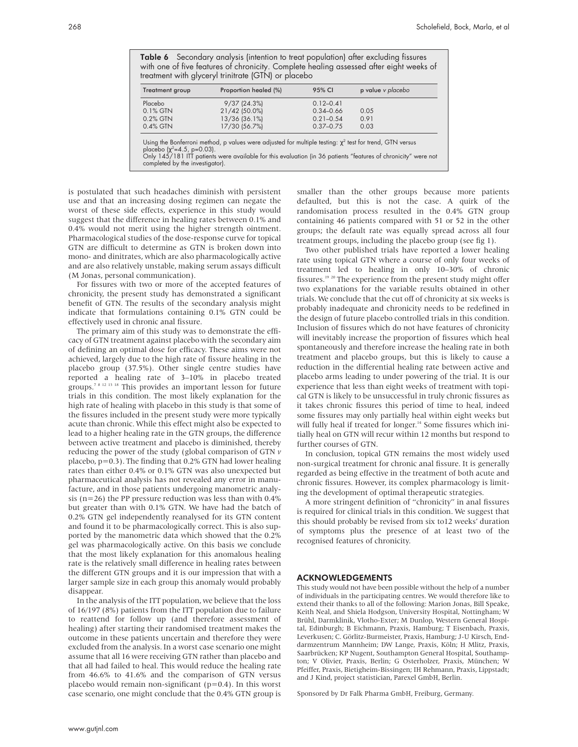Table 6 Secondary analysis (intention to treat population) after excluding fissures with one of five features of chronicity. Complete healing assessed after eight weeks of treatment with glyceryl trinitrate (GTN) or placebo

| Treatment group | Proportion healed (%) | 95% CI        | p value v placebo |
|-----------------|-----------------------|---------------|-------------------|
| Placebo         | $9/37$ (24.3%)        | $0.12 - 0.41$ |                   |
| $0.1\%$ GTN     | 21/42 (50.0%)         | $0.34 - 0.66$ | 0.05              |
| 0.2% GTN        | 13/36 (36.1%)         | $0.21 - 0.54$ | 0.91              |
| $0.4\%$ GTN     | 17/30 (56.7%)         | $0.37 - 0.75$ | 0.03              |

placebo (χ²=4.5, p=0.03).<br>Only 145/181 ITT patients were available for this evaluation (in 36 patients "features of chronicity" were not completed by the investigator).

is postulated that such headaches diminish with persistent use and that an increasing dosing regimen can negate the worst of these side effects, experience in this study would suggest that the difference in healing rates between 0.1% and 0.4% would not merit using the higher strength ointment. Pharmacological studies of the dose-response curve for topical GTN are difficult to determine as GTN is broken down into mono- and dinitrates, which are also pharmacologically active and are also relatively unstable, making serum assays difficult (M Jonas, personal communication).

For fissures with two or more of the accepted features of chronicity, the present study has demonstrated a significant benefit of GTN. The results of the secondary analysis might indicate that formulations containing 0.1% GTN could be effectively used in chronic anal fissure.

The primary aim of this study was to demonstrate the efficacy of GTN treatment against placebo with the secondary aim of defining an optimal dose for efficacy. These aims were not achieved, largely due to the high rate of fissure healing in the placebo group (37.5%). Other single centre studies have reported a healing rate of 3–10% in placebo treated groups.7 8 12 13 18 This provides an important lesson for future trials in this condition. The most likely explanation for the high rate of healing with placebo in this study is that some of the fissures included in the present study were more typically acute than chronic. While this effect might also be expected to lead to a higher healing rate in the GTN groups, the difference between active treatment and placebo is diminished, thereby reducing the power of the study (global comparison of GTN *v* placebo,  $p=0.3$ ). The finding that 0.2% GTN had lower healing rates than either 0.4% or 0.1% GTN was also unexpected but pharmaceutical analysis has not revealed any error in manufacture, and in those patients undergoing manometric analysis ( $n=26$ ) the PP pressure reduction was less than with 0.4% but greater than with 0.1% GTN. We have had the batch of 0.2% GTN gel independently reanalysed for its GTN content and found it to be pharmacologically correct. This is also supported by the manometric data which showed that the 0.2% gel was pharmacologically active. On this basis we conclude that the most likely explanation for this anomalous healing rate is the relatively small difference in healing rates between the different GTN groups and it is our impression that with a larger sample size in each group this anomaly would probably disappear.

In the analysis of the ITT population, we believe that the loss of 16/197 (8%) patients from the ITT population due to failure to reattend for follow up (and therefore assessment of healing) after starting their randomised treatment makes the outcome in these patients uncertain and therefore they were excluded from the analysis. In a worst case scenario one might assume that all 16 were receiving GTN rather than placebo and that all had failed to heal. This would reduce the healing rate from 46.6% to 41.6% and the comparison of GTN versus placebo would remain non-significant ( $p=0.4$ ). In this worst case scenario, one might conclude that the 0.4% GTN group is

smaller than the other groups because more patients defaulted, but this is not the case. A quirk of the randomisation process resulted in the 0.4% GTN group containing 46 patients compared with 51 or 52 in the other groups; the default rate was equally spread across all four treatment groups, including the placebo group (see fig 1).

Two other published trials have reported a lower healing rate using topical GTN where a course of only four weeks of treatment led to healing in only 10–30% of chronic fissures.<sup>19 20</sup> The experience from the present study might offer two explanations for the variable results obtained in other trials. We conclude that the cut off of chronicity at six weeks is probably inadequate and chronicity needs to be redefined in the design of future placebo controlled trials in this condition. Inclusion of fissures which do not have features of chronicity will inevitably increase the proportion of fissures which heal spontaneously and therefore increase the healing rate in both treatment and placebo groups, but this is likely to cause a reduction in the differential healing rate between active and placebo arms leading to under powering of the trial. It is our experience that less than eight weeks of treatment with topical GTN is likely to be unsuccessful in truly chronic fissures as it takes chronic fissures this period of time to heal, indeed some fissures may only partially heal within eight weeks but will fully heal if treated for longer.<sup>14</sup> Some fissures which initially heal on GTN will recur within 12 months but respond to further courses of GTN.

In conclusion, topical GTN remains the most widely used non-surgical treatment for chronic anal fissure. It is generally regarded as being effective in the treatment of both acute and chronic fissures. However, its complex pharmacology is limiting the development of optimal therapeutic strategies.

A more stringent definition of "chronicity" in anal fissures is required for clinical trials in this condition. We suggest that this should probably be revised from six to12 weeks' duration of symptoms plus the presence of at least two of the recognised features of chronicity.

#### ACKNOWLEDGEMENTS

This study would not have been possible without the help of a number of individuals in the participating centres. We would therefore like to extend their thanks to all of the following: Marion Jonas, Bill Speake, Keith Neal, and Shiela Hodgson, University Hospital, Nottingham; W Brühl, Darmklinik, Vlotho-Exter; M Dunlop, Western General Hospital, Edinburgh; B Eichmann, Praxis, Hamburg; T Eisenbach, Praxis, Leverkusen; C. Görlitz-Burmeister, Praxis, Hamburg; J-U Kirsch, Enddarmzentrum Mannheim; DW Lange, Praxis, Köln; H Mlitz, Praxis, Saarbrücken; KP Nugent, Southampton General Hospital, Southampton; V Olivier, Praxis, Berlin; G Osterholzer, Praxis, München; W Pfeiffer, Praxis, Bietigheim-Bissingen; IH Rehmann, Praxis, Lippstadt; and J Kind, project statistician, Parexel GmbH, Berlin.

Sponsored by Dr Falk Pharma GmbH, Freiburg, Germany.